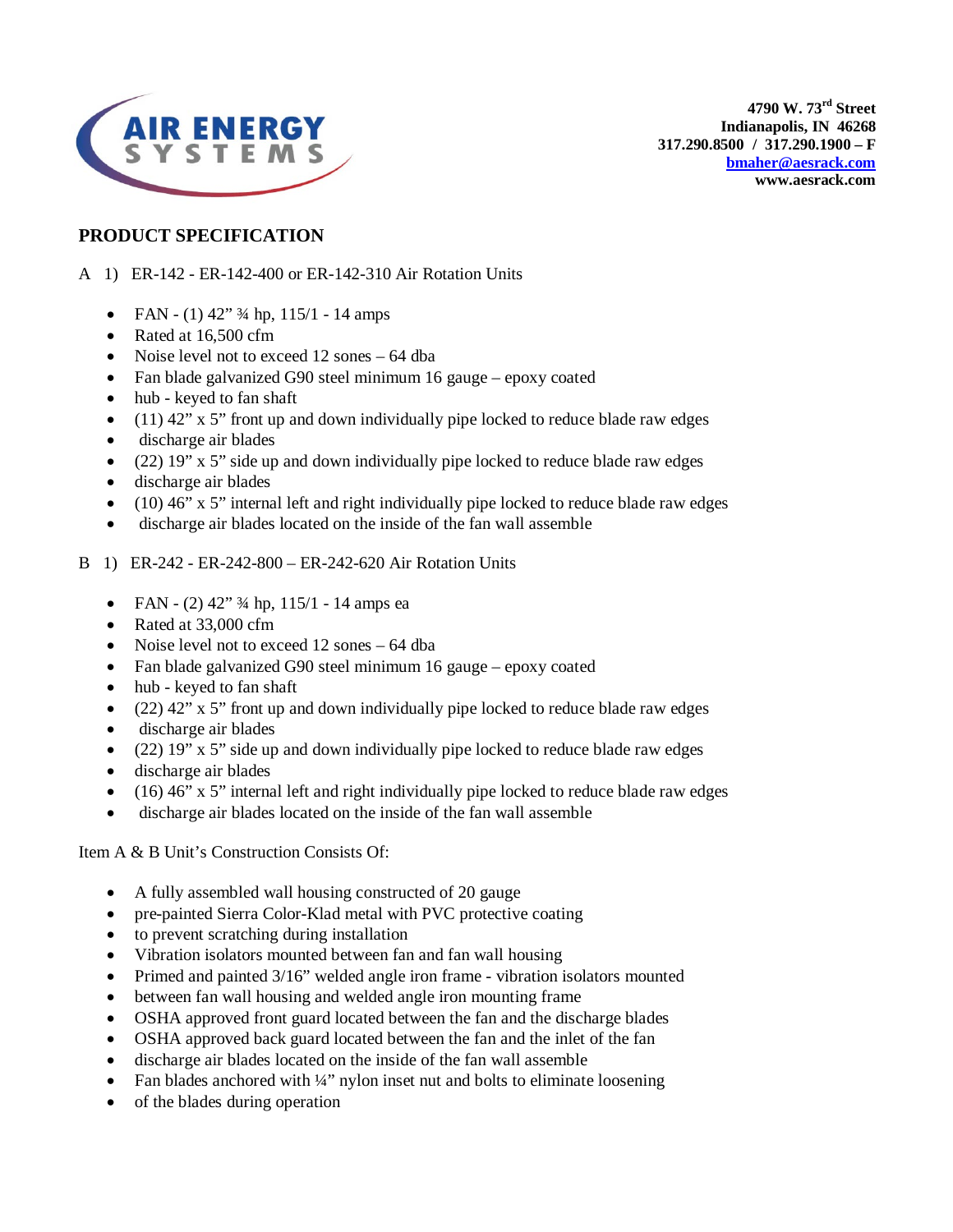

**4790 W. 73rd Street Indianapolis, IN 46268 317.290.8500 / 317.290.1900 – F [bmaher@aesrack.com](mailto:bmaher@aesrack.com) www.aesrack.com**

# **PRODUCT SPECIFICATION**

A 1) ER-142 - ER-142-400 or ER-142-310 Air Rotation Units

- FAN (1)  $42''$   $\frac{3}{4}$  hp,  $115/1$  14 amps
- Rated at 16,500 cfm
- Noise level not to exceed 12 sones 64 dba
- Fan blade galvanized G90 steel minimum 16 gauge epoxy coated
- hub keyed to fan shaft
- $\bullet$  (11) 42" x 5" front up and down individually pipe locked to reduce blade raw edges
- discharge air blades
- (22) 19" x 5" side up and down individually pipe locked to reduce blade raw edges
- discharge air blades
- (10) 46" x 5" internal left and right individually pipe locked to reduce blade raw edges
- discharge air blades located on the inside of the fan wall assemble

#### B 1) ER-242 - ER-242-800 – ER-242-620 Air Rotation Units

- FAN (2)  $42''$   $\frac{3}{4}$  hp,  $115/1$  14 amps ea
- Rated at 33,000 cfm
- Noise level not to exceed 12 sones 64 dba
- Fan blade galvanized G90 steel minimum 16 gauge epoxy coated
- hub keyed to fan shaft
- $(22)$  42" x 5" front up and down individually pipe locked to reduce blade raw edges
- discharge air blades
- (22)  $19''$  x 5" side up and down individually pipe locked to reduce blade raw edges
- discharge air blades
- (16) 46" x 5" internal left and right individually pipe locked to reduce blade raw edges
- discharge air blades located on the inside of the fan wall assemble

Item A & B Unit's Construction Consists Of:

- A fully assembled wall housing constructed of 20 gauge
- pre-painted Sierra Color-Klad metal with PVC protective coating
- to prevent scratching during installation
- Vibration isolators mounted between fan and fan wall housing
- Primed and painted 3/16" welded angle iron frame vibration isolators mounted
- between fan wall housing and welded angle iron mounting frame
- OSHA approved front guard located between the fan and the discharge blades
- OSHA approved back guard located between the fan and the inlet of the fan
- discharge air blades located on the inside of the fan wall assemble
- Fan blades anchored with 1/4" nylon inset nut and bolts to eliminate loosening
- of the blades during operation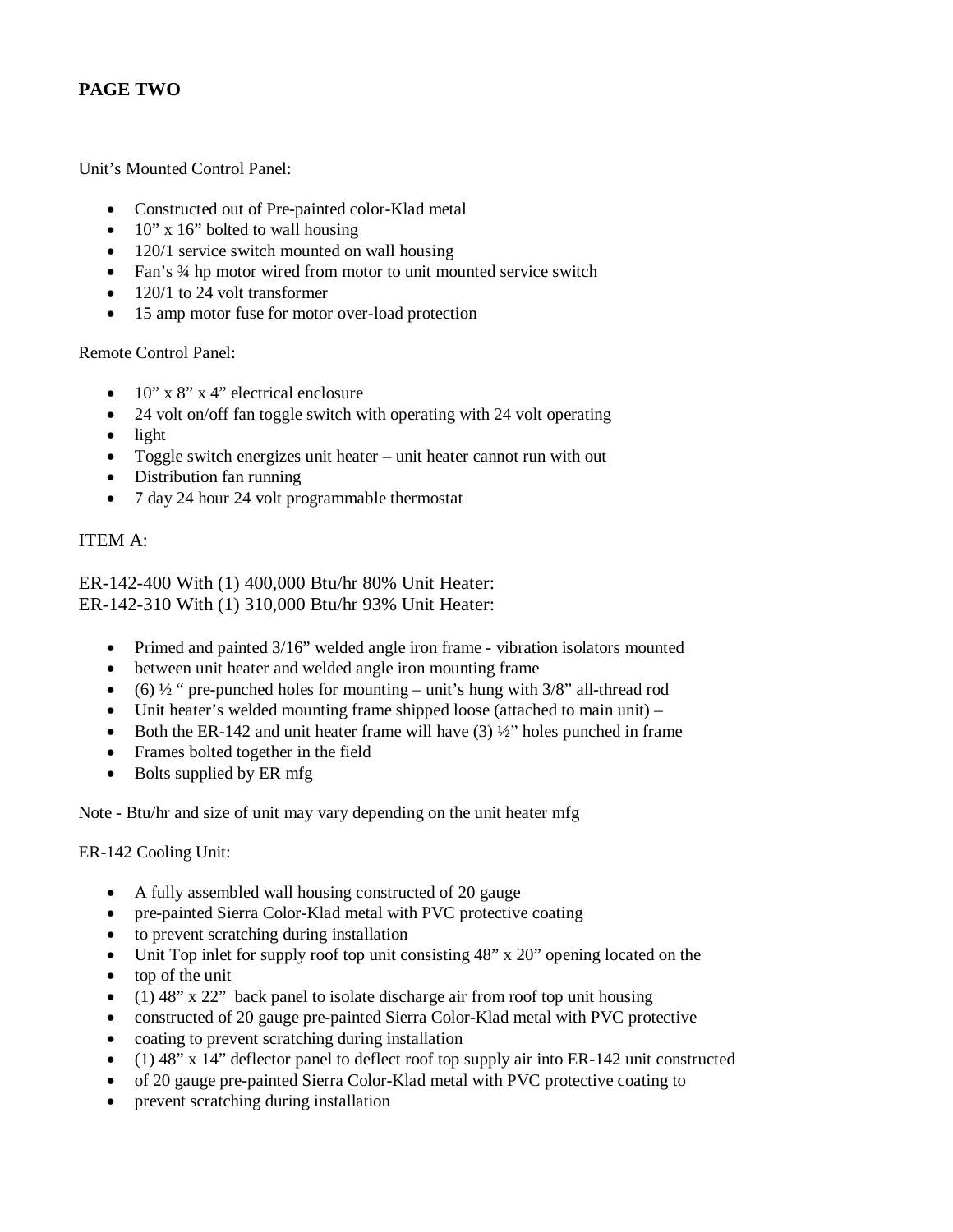# **PAGE TWO**

Unit's Mounted Control Panel:

- Constructed out of Pre-painted color-Klad metal
- $10''$  x 16" bolted to wall housing
- 120/1 service switch mounted on wall housing
- Fan's 34 hp motor wired from motor to unit mounted service switch
- 120/1 to 24 volt transformer
- 15 amp motor fuse for motor over-load protection

#### Remote Control Panel:

- $10''$  x 8" x 4" electrical enclosure
- 24 volt on/off fan toggle switch with operating with 24 volt operating
- light
- Toggle switch energizes unit heater unit heater cannot run with out
- Distribution fan running
- 7 day 24 hour 24 volt programmable thermostat

## ITEM A:

ER-142-400 With (1) 400,000 Btu/hr 80% Unit Heater: ER-142-310 With (1) 310,000 Btu/hr 93% Unit Heater:

- Primed and painted 3/16" welded angle iron frame vibration isolators mounted
- between unit heater and welded angle iron mounting frame
- (6)  $\frac{1}{2}$  " pre-punched holes for mounting unit's hung with 3/8" all-thread rod
- Unit heater's welded mounting frame shipped loose (attached to main unit) –
- Both the ER-142 and unit heater frame will have  $(3)$   $\frac{1}{2}$ " holes punched in frame
- Frames bolted together in the field
- Bolts supplied by ER mfg

Note - Btu/hr and size of unit may vary depending on the unit heater mfg

ER-142 Cooling Unit:

- A fully assembled wall housing constructed of 20 gauge
- pre-painted Sierra Color-Klad metal with PVC protective coating
- to prevent scratching during installation
- Unit Top inlet for supply roof top unit consisting 48" x 20" opening located on the
- top of the unit
- (1) 48" x 22" back panel to isolate discharge air from roof top unit housing
- constructed of 20 gauge pre-painted Sierra Color-Klad metal with PVC protective
- coating to prevent scratching during installation
- (1) 48" x 14" deflector panel to deflect roof top supply air into ER-142 unit constructed
- of 20 gauge pre-painted Sierra Color-Klad metal with PVC protective coating to
- prevent scratching during installation